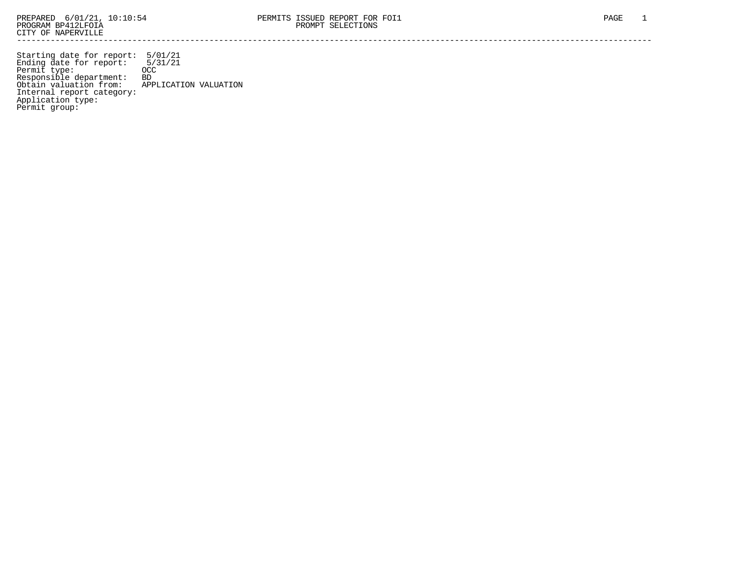Starting date for report: 5/01/21 Ending date for report: 5/31/21 Permit type: OCC Responsible department: BD Obtain valuation from: APPLICATION VALUATION Internal report category: Application type: Permit group: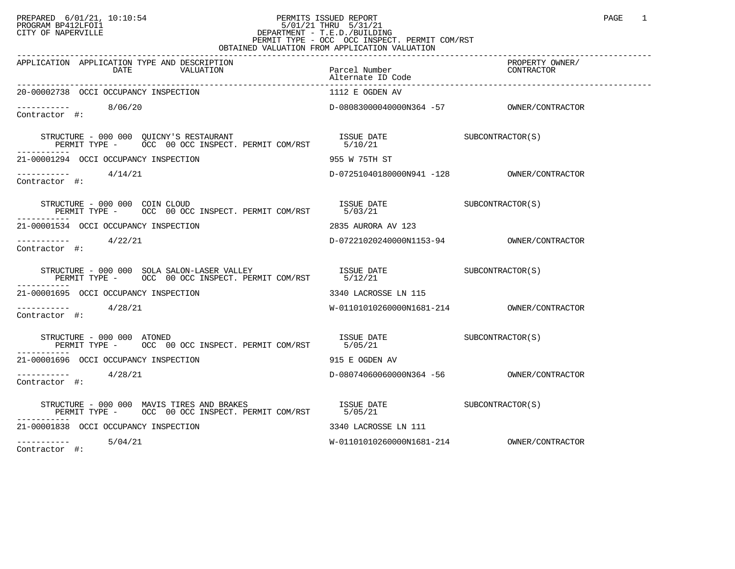## PREPARED 6/01/21, 10:10:54 PERMITS ISSUED REPORT<br>PROGRAM BP412LFOI1 PAGE 1 PROGRAM BP412LFOI1 5/01/21 THRU 5/31/21 CITY OF NAPERVILLE **Example 20** CITY OF NAPERVILLE PERMIT TYPE - OCC OCC INSPECT. PERMIT COM/RST OBTAINED VALUATION FROM APPLICATION VALUATION

| APPLICATION APPLICATION TYPE AND DESCRIPTION<br>DATE<br>VALUATION                                                                                                                                                                                                                                                                                                                                                                                            | Parcel Number<br>Alternate ID Code | ------<br>PROPERTY OWNER/<br>מיידי מיידיות<br>CONTRACTOR |
|--------------------------------------------------------------------------------------------------------------------------------------------------------------------------------------------------------------------------------------------------------------------------------------------------------------------------------------------------------------------------------------------------------------------------------------------------------------|------------------------------------|----------------------------------------------------------|
| 20-00002738 OCCI OCCUPANCY INSPECTION                                                                                                                                                                                                                                                                                                                                                                                                                        | 1112 E OGDEN AV                    |                                                          |
| $--------- 8/06/20$<br>Contractor #:                                                                                                                                                                                                                                                                                                                                                                                                                         |                                    |                                                          |
|                                                                                                                                                                                                                                                                                                                                                                                                                                                              |                                    |                                                          |
| 21-00001294 OCCI OCCUPANCY INSPECTION                                                                                                                                                                                                                                                                                                                                                                                                                        | 955 W 75TH ST                      |                                                          |
| $\frac{1}{2}$ -----------<br>Contractor #:                                                                                                                                                                                                                                                                                                                                                                                                                   |                                    |                                                          |
| STRUCTURE - 000 000 COIN CLOUD<br>PERMIT TYPE - OCC 00 OCC INSPECT. PERMIT COM/RST 5/03/21                                                                                                                                                                                                                                                                                                                                                                   | ISSUE DATE SUBCONTRACTOR(S)        |                                                          |
| 21-00001534 OCCI OCCUPANCY INSPECTION                                                                                                                                                                                                                                                                                                                                                                                                                        | 2835 AURORA AV 123                 |                                                          |
| ----------- 4/22/21<br>Contractor #:                                                                                                                                                                                                                                                                                                                                                                                                                         |                                    |                                                          |
| $\begin{tabular}{lllllll} \textbf{STRUCTURE} & $\color{red}000$ & $\color{red}000$ & $\color{red}SOLA$ & $\color{red}SLLON-LASER$ & $\color{red}VALLEY$ & & $\color{red}ISSUE$ & }\color{red}DATE & & $\color{red}SUBCONTRACTOR(S)$ & \\ & $\color{red}PERMIT$ & $\color{red}TYPEE$ & $\color{red}OCC$ & $\color{red}00$ & $\color{red}OCC$ & $\color{red}INSPECT$ & $\color{red}PERMIT$ & $\color{red}COM/RST$ & & $\color{red}5/12/21$ & \\ \end{tabular}$ |                                    |                                                          |
| 21-00001695 OCCI OCCUPANCY INSPECTION                                                                                                                                                                                                                                                                                                                                                                                                                        | 3340 LACROSSE LN 115               |                                                          |
| $--------- 4/28/21$<br>Contractor #:                                                                                                                                                                                                                                                                                                                                                                                                                         |                                    |                                                          |
| RUCTURE - 000 000 ATONED<br>PERMIT TYPE - OCC 00 OCC INSPECT. PERMIT COM/RST 5/05/21<br>STRUCTURE - 000 000 ATONED                                                                                                                                                                                                                                                                                                                                           | ISSUE DATE SUBCONTRACTOR(S)        |                                                          |
| 21-00001696 OCCI OCCUPANCY INSPECTION                                                                                                                                                                                                                                                                                                                                                                                                                        | 915 E OGDEN AV                     |                                                          |
| ----------- 4/28/21<br>Contractor #:                                                                                                                                                                                                                                                                                                                                                                                                                         |                                    |                                                          |
| STRUCTURE - 000 000 MAVIS TIRES AND BRAKES ______ _______ _____ ISSUE DATE SUBCONTRACTOR(S)<br>PERMIT TYPE - OCC 00 OCC INSPECT. PERMIT COM/RST 5/05/21                                                                                                                                                                                                                                                                                                      |                                    |                                                          |
| 21-00001838 OCCI OCCUPANCY INSPECTION                                                                                                                                                                                                                                                                                                                                                                                                                        | 3340 LACROSSE LN 111               |                                                          |
| $--------- 5/04/21$                                                                                                                                                                                                                                                                                                                                                                                                                                          |                                    |                                                          |

Contractor #: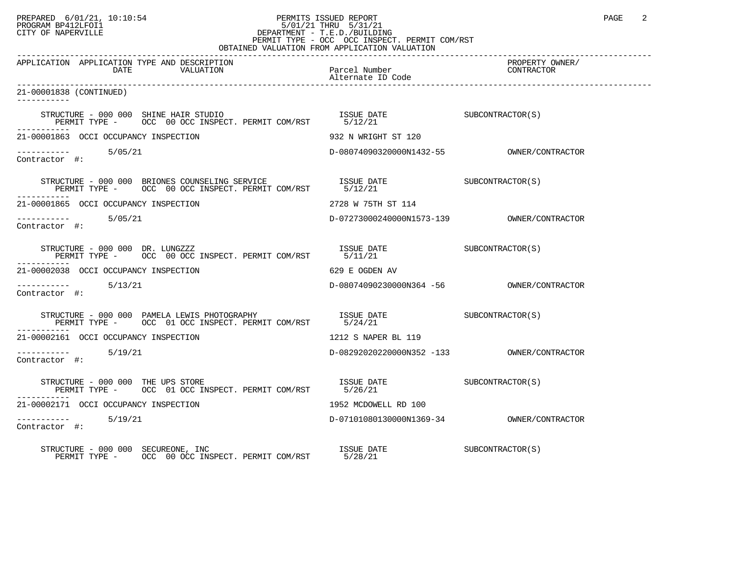## PREPARED 6/01/21, 10:10:54 PERMITS ISSUED REPORT PROGRAM BP412LFOI1 PAGE 2 PROGRAM BP412LFOI1 5/01/21 THRU 5/31/21 CITY OF NAPERVILLE **Example 20** CITY OF NAPERVILLE PERMIT TYPE - OCC OCC INSPECT. PERMIT COM/RST

| OBTAINED VALUATION FROM APPLICATION VALUATION                                                                                                                                                                                                                                                               |                                           |                               |  |  |
|-------------------------------------------------------------------------------------------------------------------------------------------------------------------------------------------------------------------------------------------------------------------------------------------------------------|-------------------------------------------|-------------------------------|--|--|
| APPLICATION APPLICATION TYPE AND DESCRIPTION<br>DATE<br>VALUATION                                                                                                                                                                                                                                           | Parcel Number<br>Alternate ID Code        | PROPERTY OWNER/<br>CONTRACTOR |  |  |
| 21-00001838 (CONTINUED)<br>-----------                                                                                                                                                                                                                                                                      |                                           |                               |  |  |
| $\begin{tabular}{lllllll} \bf STRUCTURE & = & 000 & 000 & \bf SHINE & \tt{HAIR} & \tt{STUDIO} & \tt{ISSUE & \tt{DATE} & \tt{SUBCONTRACTOR(S)} \\ \bf PERMIT & \tt{TYPE} & = & \tt{OCC} & \tt{00 ~OCC} & \tt{INSPECT.} & \tt{PERMIT} & \tt{COM/RST} & \tt{5/12/21} & \tt{SUSCONTRACTOR(S)} \\ \end{tabular}$ |                                           |                               |  |  |
| 21-00001863 OCCI OCCUPANCY INSPECTION                                                                                                                                                                                                                                                                       | 932 N WRIGHT ST 120                       |                               |  |  |
| $------ - - -$ 5/05/21<br>Contractor #:                                                                                                                                                                                                                                                                     |                                           |                               |  |  |
| $\begin{tabular}{lllllllllll} \texttt{STRUCTURE} & 000 000 & BRIONES COUNSELING SERVICE & \texttt{ISSUE} \texttt{DATE} & \texttt{SUE} & \texttt{SUBCONTRACTOR(S)} \\ \texttt{PERMIT TYPE} & & & & & & & & & & & & & & & & \\ \texttt{PERMIT TYPE} & & & & & & & & & & & & & \\ \end{tabular}$               |                                           |                               |  |  |
| 21-00001865 OCCI OCCUPANCY INSPECTION                                                                                                                                                                                                                                                                       | 2728 W 75TH ST 114                        |                               |  |  |
| ---------- 5/05/21<br>Contractor #:                                                                                                                                                                                                                                                                         |                                           |                               |  |  |
|                                                                                                                                                                                                                                                                                                             |                                           |                               |  |  |
| 21-00002038 OCCI OCCUPANCY INSPECTION                                                                                                                                                                                                                                                                       | 629 E OGDEN AV                            |                               |  |  |
| $------ 5/13/21$<br>Contractor #:                                                                                                                                                                                                                                                                           |                                           |                               |  |  |
|                                                                                                                                                                                                                                                                                                             |                                           |                               |  |  |
| 21-00002161 OCCI OCCUPANCY INSPECTION                                                                                                                                                                                                                                                                       | 1212 S NAPER BL 119                       |                               |  |  |
| $--------$ 5/19/21<br>Contractor #:                                                                                                                                                                                                                                                                         |                                           |                               |  |  |
| STRUCTURE - 000 000 THE UPS STORE<br>PERMIT TYPE - OCC 01 OCC INSPECT. PERMIT COM/RST 5/26/21                                                                                                                                                                                                               | ISSUE DATE SUBCONTRACTOR(S)               |                               |  |  |
| 21-00002171 OCCI OCCUPANCY INSPECTION                                                                                                                                                                                                                                                                       | 1952 MCDOWELL RD 100                      |                               |  |  |
| Contractor #:                                                                                                                                                                                                                                                                                               | D-07101080130000N1369-34 OWNER/CONTRACTOR |                               |  |  |
| STRUCTURE - 000 000 SECUREONE, INC<br>PERMIT TYPE - OCC 00 OCC INSPECT. PERMIT COM/RST 5/28/21                                                                                                                                                                                                              | ISSUE DATE SUBCONTRACTOR(S)               |                               |  |  |